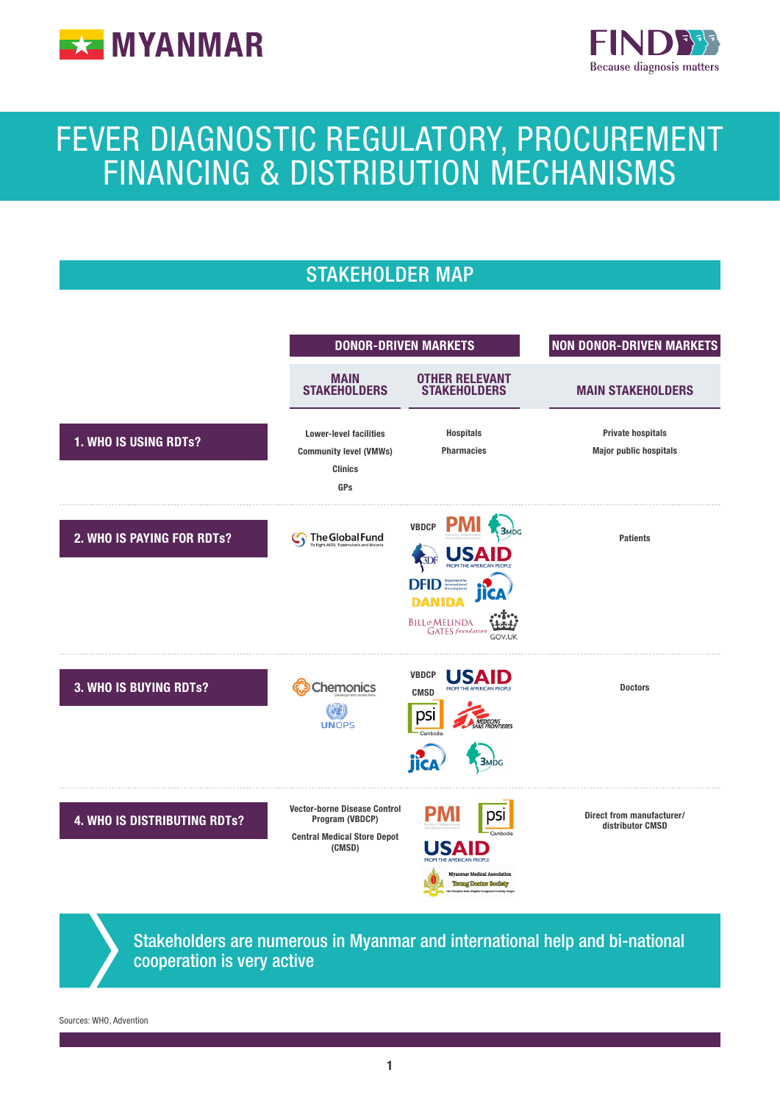



# FEVER DIAGNOSTIC REGULATORY, PROCUREMENT FINANCING & DISTRIBUTION MECHANISMS



## Stakeholders are numerous in Myanmar and international help and bi-national cooperation is very active

Sources: WHO, Advention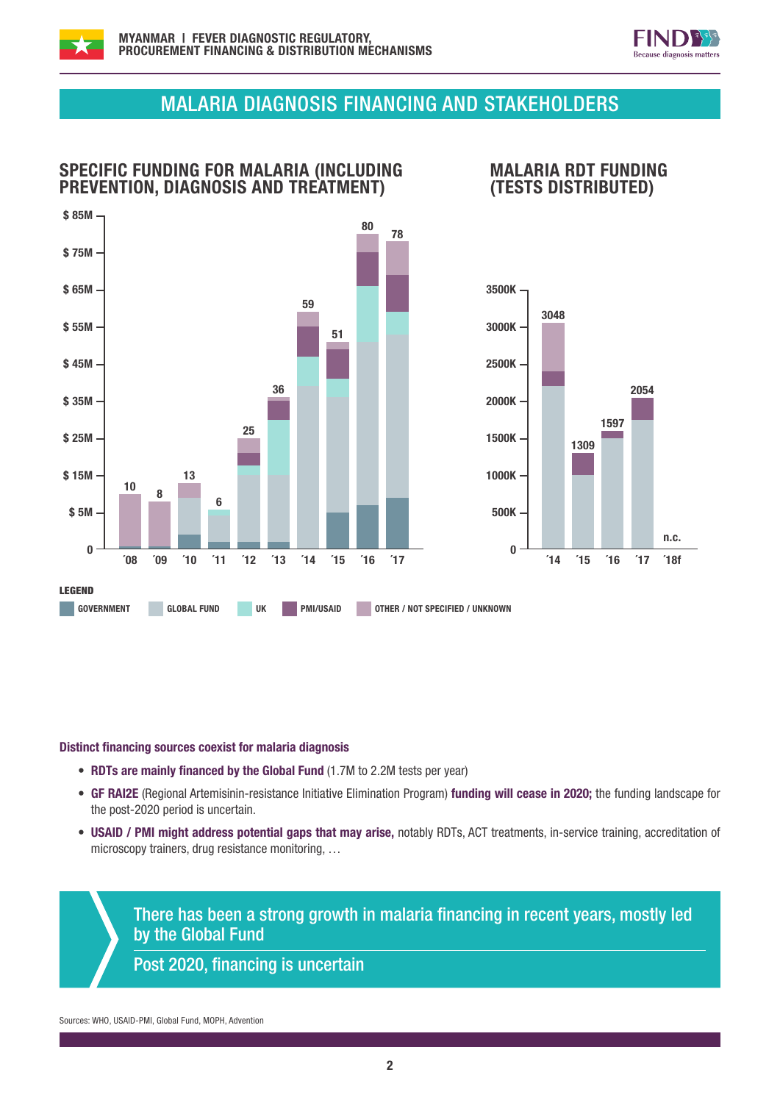



# MALARIA DIAGNOSIS FINANCING AND STAKEHOLDERS



#### Distinct financing sources coexist for malaria diagnosis

- RDTs are mainly financed by the Global Fund (1.7M to 2.2M tests per year)
- GF RAI2E (Regional Artemisinin-resistance Initiative Elimination Program) funding will cease in 2020; the funding landscape for the post-2020 period is uncertain.
- USAID / PMI might address potential gaps that may arise, notably RDTs, ACT treatments, in-service training, accreditation of microscopy trainers, drug resistance monitoring, …

There has been a strong growth in malaria financing in recent years, mostly led by the Global Fund

Post 2020, financing is uncertain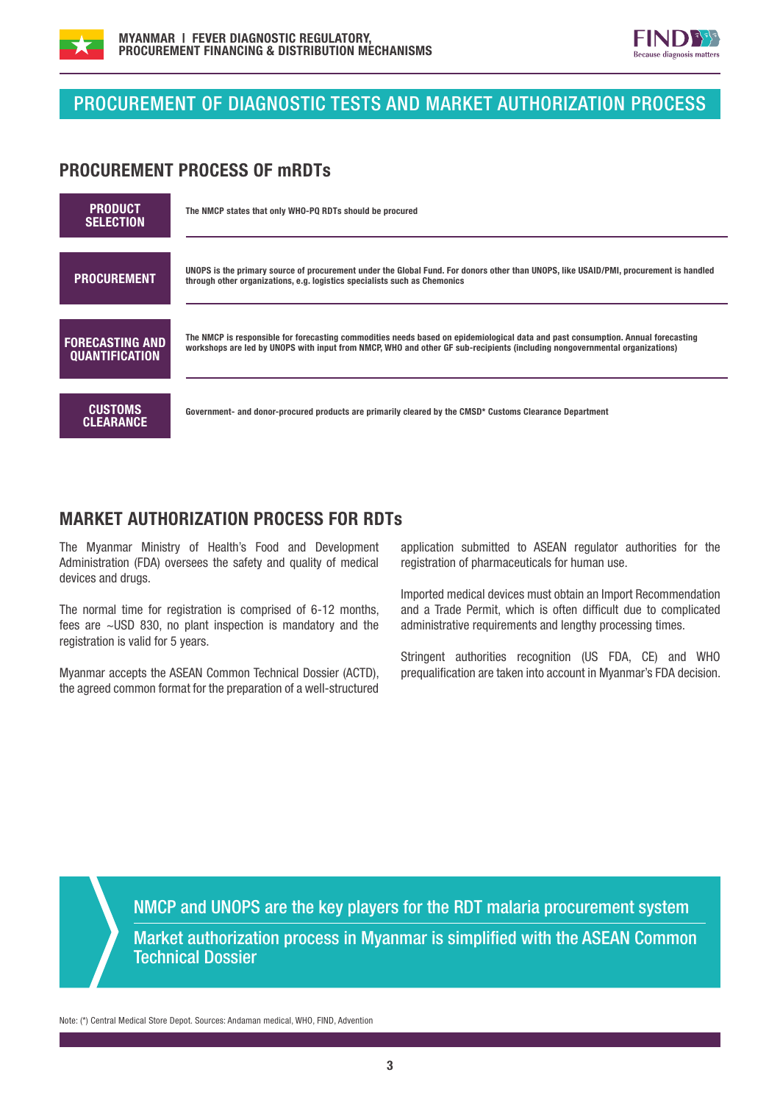



# PROCUREMENT OF DIAGNOSTIC TESTS AND MARKET AUTHORIZATION PROCESS

### PROCUREMENT PROCESS OF mRDTs

| <b>PRODUCT</b><br><b>SELECTION</b>              | The NMCP states that only WHO-PQ RDTs should be procured                                                                                                                                                                                                       |
|-------------------------------------------------|----------------------------------------------------------------------------------------------------------------------------------------------------------------------------------------------------------------------------------------------------------------|
| <b>PROCUREMENT</b>                              | UNOPS is the primary source of procurement under the Global Fund. For donors other than UNOPS, like USAID/PMI, procurement is handled<br>through other organizations, e.g. logistics specialists such as Chemonics                                             |
| <b>FORECASTING AND</b><br><b>QUANTIFICATION</b> | The NMCP is responsible for forecasting commodities needs based on epidemiological data and past consumption. Annual forecasting<br>workshops are led by UNOPS with input from NMCP, WHO and other GF sub-recipients (including nongovernmental organizations) |
| <b>CUSTOMS</b><br><b>CLEARANCE</b>              | Government- and donor-procured products are primarily cleared by the CMSD* Customs Clearance Department                                                                                                                                                        |

## MARKET AUTHORIZATION PROCESS FOR RDTs

The Myanmar Ministry of Health's Food and Development Administration (FDA) oversees the safety and quality of medical devices and drugs.

The normal time for registration is comprised of 6-12 months, fees are ~USD 830, no plant inspection is mandatory and the registration is valid for 5 years.

Myanmar accepts the ASEAN Common Technical Dossier (ACTD), the agreed common format for the preparation of a well-structured

application submitted to ASEAN regulator authorities for the registration of pharmaceuticals for human use.

Imported medical devices must obtain an Import Recommendation and a Trade Permit, which is often difficult due to complicated administrative requirements and lengthy processing times.

Stringent authorities recognition (US FDA, CE) and WHO prequalification are taken into account in Myanmar's FDA decision.

NMCP and UNOPS are the key players for the RDT malaria procurement system Market authorization process in Myanmar is simplified with the ASEAN Common **Technical Dossier** 

Note: (\*) Central Medical Store Depot. Sources: Andaman medical, WHO, FIND, Advention